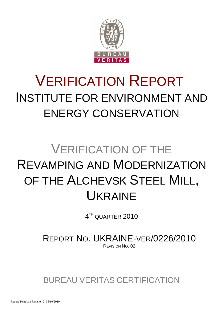

# VERIFICATION REPORT INSTITUTE FOR ENVIRONMENT AND ENERGY CONSERVATION

# VERIFICATION OF THE REVAMPING AND MODERNIZATION OF THE ALCHEVSK STEEL MILL, UKRAINE

 $4^{\text{\tiny{TH}}}$  QUARTER  $2010$ 

REPORT NO. UKRAINE-VER/0226/2010 REVISION NO. 02

BUREAU VERITAS CERTIFICATION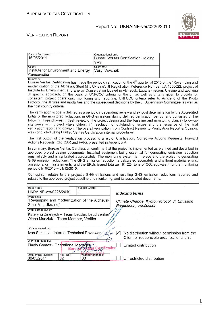

| Date of first issue:<br>16/05/2011                                                                                                                                                                                                                                                                                                                                                                                                                                                                                                                                                                                                                                                                                                               | Organizational unit:<br><b>SAS</b>         |           | <b>Bureau Veritas Certification Holding</b> |                                                                                                                                                                                                 |  |  |  |
|--------------------------------------------------------------------------------------------------------------------------------------------------------------------------------------------------------------------------------------------------------------------------------------------------------------------------------------------------------------------------------------------------------------------------------------------------------------------------------------------------------------------------------------------------------------------------------------------------------------------------------------------------------------------------------------------------------------------------------------------------|--------------------------------------------|-----------|---------------------------------------------|-------------------------------------------------------------------------------------------------------------------------------------------------------------------------------------------------|--|--|--|
| Client:<br>Institute for Environment and Energy<br>Conservation                                                                                                                                                                                                                                                                                                                                                                                                                                                                                                                                                                                                                                                                                  | Client ref.:<br>Vasyl Vovchak              |           |                                             |                                                                                                                                                                                                 |  |  |  |
| Summary:<br>Bureau Veritas Certification has made the periodic verification of the 4 <sup>th</sup> quarter of 2010 of the "Revamping and<br>modernization of the Alchevsk Steel Mill, Ukraine", JI Registration Reference Number UA 1000022, project of<br>Institute for Environment and Energy Conservation located in Alchevsk, Lugansk region, Ukraine and applying<br>JI specific approach, on the basis of UNFCCC criteria for the JI, as well as criteria given to provide for<br>consistent project operations, monitoring and reporting. UNFCCC criteria refer to Article 6 of the Kyoto<br>Protocol, the JI rules and modalities and the subsequent decisions by the JI Supervisory Committee, as well as<br>the host country criteria. |                                            |           |                                             |                                                                                                                                                                                                 |  |  |  |
| The verification scope is defined as a periodic independent review and ex post determination by the Accredited<br>Entity of the monitored reductions in GHG emissions during defined verification period, and consisted of the<br>following three phases: i) desk review of the project design and the baseline and monitoring plan; ii) follow-up<br>interviews with project stakeholders; iii) resolution of outstanding issues and the issuance of the final<br>verification report and opinion. The overall verification, from Contract Review to Verification Report & Opinion,<br>was conducted using Bureau Veritas Certification internal procedures.                                                                                    |                                            |           |                                             |                                                                                                                                                                                                 |  |  |  |
| The first output of the verification process is a list of Clarification, Corrective Actions Requests, Forward<br>Actions Requests (CR, CAR and FAR), presented in Appendix A.                                                                                                                                                                                                                                                                                                                                                                                                                                                                                                                                                                    |                                            |           |                                             |                                                                                                                                                                                                 |  |  |  |
| In summary, Bureau Veritas Certification confirms that the project is implemented as planned and described in<br>approved project design documents. Installed equipment being essential for generating emission reduction<br>runs reliably and is calibrated appropriately. The monitoring system is in place and the project is generating<br>GHG emission reductions. The GHG emission reduction is calculated accurately and without material errors,<br>omissions, or misstatements, and the ERUs issued totalize 181 224 tons of CO2 equivalent for the monitoring<br>period 01/10/2010 - 31/12/2010.                                                                                                                                       |                                            |           |                                             |                                                                                                                                                                                                 |  |  |  |
|                                                                                                                                                                                                                                                                                                                                                                                                                                                                                                                                                                                                                                                                                                                                                  |                                            |           |                                             | Our opinion relates to the project's GHG emissions and resulting GHG emission reductions reported and<br>related to the approved project baseline and monitoring, and its associated documents. |  |  |  |
| Report No.:<br>Subject Group:                                                                                                                                                                                                                                                                                                                                                                                                                                                                                                                                                                                                                                                                                                                    |                                            |           |                                             |                                                                                                                                                                                                 |  |  |  |
| UKRAINE-ver/0226/2010<br>JI                                                                                                                                                                                                                                                                                                                                                                                                                                                                                                                                                                                                                                                                                                                      |                                            |           | <b>Indexing terms</b>                       |                                                                                                                                                                                                 |  |  |  |
| Project title:<br>"Revamping and modernization of the Alchevsk<br>Steel Mill, Ukraine"                                                                                                                                                                                                                                                                                                                                                                                                                                                                                                                                                                                                                                                           |                                            |           | Reductions, Verification                    | Climate Change, Kyoto Protocol, JI, Emission                                                                                                                                                    |  |  |  |
| Work carried out by:                                                                                                                                                                                                                                                                                                                                                                                                                                                                                                                                                                                                                                                                                                                             |                                            |           |                                             |                                                                                                                                                                                                 |  |  |  |
| Kateryna Zinevych - Team Leader, Lead verifier<br>Olena Manziuk - Team Member, Verifier                                                                                                                                                                                                                                                                                                                                                                                                                                                                                                                                                                                                                                                          |                                            |           |                                             |                                                                                                                                                                                                 |  |  |  |
| Work reviewed by:                                                                                                                                                                                                                                                                                                                                                                                                                                                                                                                                                                                                                                                                                                                                |                                            |           |                                             |                                                                                                                                                                                                 |  |  |  |
| Ivan Sokolov - Internal Technical Reviewer                                                                                                                                                                                                                                                                                                                                                                                                                                                                                                                                                                                                                                                                                                       |                                            | $\bowtie$ | Client or responsible organizational unit   | No distribution without permission from the                                                                                                                                                     |  |  |  |
| Work approved by:<br>Flavio Gomes - Operational Manager<br><b>Burea</b><br>Date of this revision:<br>Rev. No.:                                                                                                                                                                                                                                                                                                                                                                                                                                                                                                                                                                                                                                   | <b>Be Copification</b><br>Number of pages: |           | Limited distribution                        |                                                                                                                                                                                                 |  |  |  |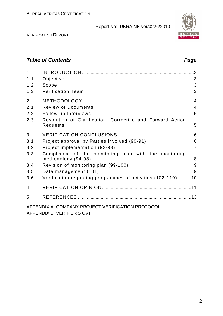

VERIFICATION REPORT

# **Table of Contents Page 2014**

| 1              |                                                                              |                |
|----------------|------------------------------------------------------------------------------|----------------|
| 1.1            | Objective                                                                    | 3              |
| 1.2            | Scope                                                                        | 3              |
| 1.3            | <b>Verification Team</b>                                                     | 3              |
| $\overline{2}$ |                                                                              | .4             |
| 2.1            | <b>Review of Documents</b>                                                   | $\overline{4}$ |
| 2.2            | Follow-up Interviews                                                         | 5              |
| 2.3            | Resolution of Clarification, Corrective and Forward Action<br>Requests       | 5              |
| 3              |                                                                              | .6             |
| 3.1            | Project approval by Parties involved (90-91)                                 | 6              |
| 3.2            | Project implementation (92-93)                                               | $\overline{7}$ |
| 3.3            | Compliance of the monitoring plan with the monitoring<br>methodology (94-98) | 8              |
| 3.4            | Revision of monitoring plan (99-100)                                         | 9              |
| 3.5            | Data management (101)                                                        | 9              |
| 3.6            | Verification regarding programmes of activities (102-110)                    | 10             |
| 4              |                                                                              |                |
| 5              |                                                                              |                |
|                | APPENDIX A: COMPANY PROJECT VERIFICATION PROTOCOL                            |                |

APPENDIX B: VERIFIER'S CVs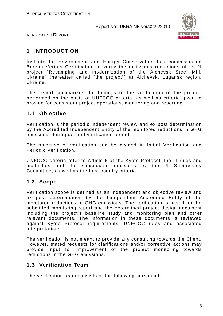

VERIFICATION REPORT

# **1 INTRODUCTION**

Institute for Environment and Energy Conservation has commissioned Bureau Veritas Certification to verify the emissions reductions of its JI project "Revamping and modernization of the Alchevsk Steel Mill, Ukraine" (hereafter called "the project") at Alchevsk, Lugansk region, Ukraine.

This report summarizes the findings of the verification of the project, performed on the basis of UNFCCC criteria, as well as criteria given to provide for consistent project operations, monitoring and reporting.

# **1.1 Objective**

Verification is the periodic independent review and ex post determination by the Accredited Independent Entity of the monitored reductions in GHG emissions during defined verification period.

The objective of verification can be divided in Initial Verification and Periodic Verification.

UNFCCC criteria refer to Article 6 of the Kyoto Protocol, the JI rules and modalities and the subsequent decisions by the JI Supervisory Committee, as well as the host country criteria.

# **1.2 Scope**

Verification scope is defined as an independent and objective review and ex post determination by the Independent Accredited Entity of the monitored reductions in GHG emissions. The verification is based on the submitted monitoring report and the determined project design document including the project's baseline study and monitoring plan and other relevant documents. The information in these documents is reviewed against Kyoto Protocol requirements, UNFCCC rules and associated interpretations.

The verification is not meant to provide any consulting towards the Client. However, stated requests for clarifications and/or corrective actions may provide input for improvement of the project monitoring towards reductions in the GHG emissions.

# **1.3 Verification Team**

The verification team consists of the following personnel: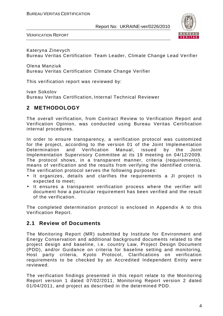

VERIFICATION REPORT

Kateryna Zinevych Bureau Veritas Certification Team Leader, Climate Change Lead Verifier

Olena Manziuk Bureau Veritas Certification Climate Change Verifier

This verification report was reviewed by:

Ivan Sokolov Bureau Veritas Certification, Internal Technical Reviewer

# **2 METHODOLOGY**

The overall verification, from Contract Review to Verification Report and Verification Opinion, was conducted using Bureau Veritas Certification internal procedures.

In order to ensure transparency, a verification protocol was customized for the project, according to the version 01 of the Joint Implementation Determination and Verification Manual, issued by the Joint Implementation Supervisory Committee at its 19 meeting on 04/12/2009. The protocol shows, in a transparent manner, criteria (requirements), means of verification and the results from verifying the identified criteria. The verification protocol serves the following purposes:

- It organizes, details and clarifies the requirements a JI project is expected to meet;
- It ensures a transparent verification process where the verifier will document how a particular requirement has been verified and the result of the verification.

The completed determination protocol is enclosed in Appendix A to this Verification Report.

# **2.1 Review of Documents**

The Monitoring Report (MR) submitted by Institute for Environment and Energy Conservation and additional background documents related to the project design and baseline, i.e. country Law, Project Design Document (PDD), and/or Guidance on criteria for baseline setting and monitoring, Host party criteria, Kyoto Protocol, Clarifications on verification requirements to be checked by an Accredited Independent Entity were reviewed.

The verification findings presented in this report relate to the Monitoring Report version 1 dated 07/02/2011, Monitoring Report version 2 dated 01/04/2011, and project as described in the determined PDD.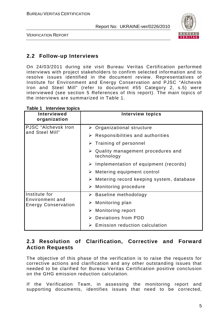

VERIFICATION REPORT

# **2.2 Follow-up Interviews**

On 24/03/2011 during site visit Bureau Veritas Certification performed interviews with project stakeholders to confirm selected information and to resolve issues identified in the document review. Representatives of Institute for Environment and Energy Conservation and PJSC "Alchevsk Iron and Steel Mill" (refer to document #55 Category 2, s.5) were interviewed (see section 5 References of this report). The main topics of the interviews are summarized in Table 1.

#### **Table 1 Interview topics**

| <b>Interviewed</b><br>organization            | <b>Interview topics</b>                                          |
|-----------------------------------------------|------------------------------------------------------------------|
| PJSC "Alchevsk Iron<br>and Steel Mill"        | $\triangleright$ Organizational structure                        |
|                                               | $\triangleright$ Responsibilities and authorities                |
|                                               | $\triangleright$ Training of personnel                           |
|                                               | $\triangleright$ Quality management procedures and<br>technology |
|                                               | $\triangleright$ Implementation of equipment (records)           |
|                                               | $\triangleright$ Metering equipment control                      |
|                                               | $\triangleright$ Metering record keeping system, database        |
|                                               | $\triangleright$ Monitoring procedure                            |
| Institute for                                 | $\triangleright$ Baseline methodology                            |
| Environment and<br><b>Energy Conservation</b> | $\triangleright$ Monitoring plan                                 |
|                                               | $\triangleright$ Monitoring report                               |
|                                               | $\triangleright$ Deviations from PDD                             |
|                                               | Emission reduction calculation                                   |

# **2.3 Resolution of Clarification, Corrective and Forward Action Requests**

The objective of this phase of the verification is to raise the requests for corrective actions and clarification and any other outstanding issues that needed to be clarified for Bureau Veritas Certification positive conclusion on the GHG emission reduction calculation.

If the Verification Team, in assessing the monitoring report and supporting documents, identifies issues that need to be corrected,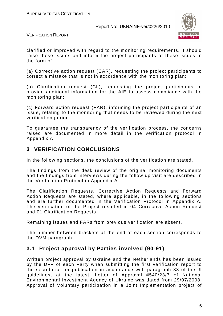

VERIFICATION REPORT

clarified or improved with regard to the monitoring requirements, it should raise these issues and inform the project participants of these issues in the form of:

(a) Corrective action request (CAR), requesting the project participants to correct a mistake that is not in accordance with the monitoring plan;

(b) Clarification request (CL), requesting the project participants to provide additional information for the AIE to assess compliance with the monitoring plan;

(c) Forward action request (FAR), informing the project participants of an issue, relating to the monitoring that needs to be reviewed during the next verification period.

To guarantee the transparency of the verification process, the concerns raised are documented in more detail in the verification protocol in Appendix A.

## **3 VERIFICATION CONCLUSIONS**

In the following sections, the conclusions of the verification are stated.

The findings from the desk review of the original monitoring documents and the findings from interviews during the follow up visit are described in the Verification Protocol in Appendix A.

The Clarification Requests, Corrective Action Requests and Forward Action Requests are stated, where applicable, in the following sections and are further documented in the Verification Protocol in Appendix A. The verification of the Project resulted in 04 Corrective Action Request and 01 Clarification Requests.

Remaining issues and FARs from previous verification are absent.

The number between brackets at the end of each section corresponds to the DVM paragraph.

# **3.1 Project approval by Parties involved (90-91)**

Written project approval by Ukraine and the Netherlands has been issued by the DFP of each Party when submitting the first verification report to the secretariat for publication in accordance with paragraph 38 of the JI guidelines, at the latest. Letter of Approval #540/23/7 of National Environmental Investment Agency of Ukraine was dated from 29/07/2008. Approval of Voluntary participation in a Joint Implementation project of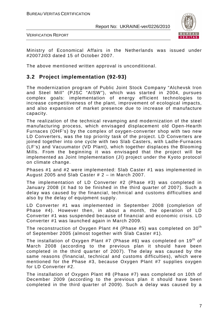

VERIFICATION REPORT

Ministry of Economical Affairs in the Netherlands was issued under #2007JI03 dated 15 of October 2007.

The above mentioned written approval is unconditional.

# **3.2 Project implementation (92-93)**

The modernization program of Public Joint Stock Company "Alchevsk Iron and Steel Mill" (PJSC "AISW"), which was started in 2004, pursues complex goals: implementation of energy efficient technologies to increase competitiveness of the plant, improvement of ecological impacts, and also expansion of market presence due to increase of manufacture capacity.

The realization of the technical revamping and modernization of the steel manufacturing process, which envisaged displacement old Open-Hearth Furnaces (OHF's) by the complex of oxygen-converter shop with two new LD Converters, was the top priority task of the project. LD Converters are joined together into one cycle with two Slab Casters, with Ladle-Furnaces (LF's) and Vacuumator (VD Plant), which together displaces the Blooming Mills. From the beginning it was envisaged that the project will be implemented as Joint Implementation (JI) project under the Kyoto protocol on climate change.

Phases #1 and #2 were implemented: Slab Caster #1 was implemented in August 2005 and Slab Caster # 2 – in March 2007.

The implementation of LD Converter #2 (Phase #3) was completed in January 2008 (it had to be finished in the third quarter of 2007). Such a delay was caused by the financial, technical and customs difficulties and also by the delay of equipment supply.

LD Converter #1 was implemented in September 2008 (completion of Phase #4). However then, in about a month, the operation of LD Converter #1 was suspended because of financial and economic crisis. LD Converter #1 was launched again in March 2009.

The reconstruction of Oxygen Plant #4 (Phase #5) was completed on  $30<sup>th</sup>$ of September 2005 (almost together with Slab Caster #1).

The installation of Oxygen Plant #7 (Phase #6) was completed on 19<sup>th</sup> of March 2008 (according to the previous plan it should have been completed in the third quarter of 2007). The delay was caused by the same reasons (financial, technical and customs difficulties), which were mentioned for the Phase #3, because Oxygen Plant #7 supplies oxygen for LD Converter #2.

The installation of Oxygen Plant #8 (Phase #7) was completed on 10th of December 2009 (according to the previous plan it should have been completed in the third quarter of 2009). Such a delay was caused by a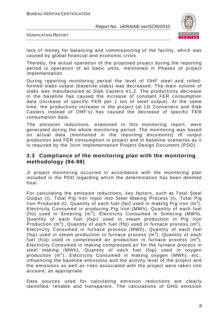

VERIFICATION REPORT

lack of money for balancing and commissioning of the facility, which was caused by global financial and economic crisis.

Thereby, the actual operation of the proposed project during the reporting period is operation of all basic units, mentioned in Phases of project implementation.

During reporting monitoring period the level of OHF steel and rolledformed slabs output (baseline slabs) was decreased. The main volume of slabs was manufactured at Slab Casters #1,2. The productivity decrease in the baseline has caused the increase of constant FER consumption data (increase of specific FER per 1 ton of steel output). At the same time, the productivity increase in the project (at LD Converters and Slab Casters instead of OHF's) has caused the decrease of specific FER consumption data.

The emission reductions, examined in this monitoring report, were generated during the whole monitoring period. The monitoring was based on actual data (mentioned in the reporting documents) of output production and FER consumption in project and in baseline scenarios as it is required by the Joint Implementation Project Design Document (PDD).

## **3.3 Compliance of the monitoring plan with the monitoring methodology (94-98)**

JI project monitoring occurred in accordance with the monitoring plan included in the PDD regarding which the determination has been deemed final.

For calculating the emission reductions, key factors, such as Total Steel Output (t), Total Pig Iron Input into Steel Making Process (t), Total Pig Iron Produced (t), Quantity of each fuel (fpi) used in making Pig Iron  $(m^3)$ , Electricity Consumed in producing Pig Iron (MWh), Quantity of each fuel (fio) used in Sintering  $(m^3)$ , Electricity Consumed in Sintering (MWh), Quantity of each fuel (fspi) used in steam production in Pig Iron Production (m<sup>3</sup>), Quantity of each fuel (ffp) used in furnace process (m<sup>3</sup>), Electricity Consumed in furnace process (MWh), Quantity of each fuel (fsp) used in steam production in furnace process  $(m^3)$ , Quantity of each fuel (fca) used in compressed air production in furnace process  $(m^3)$ , Electricity Consumed in making compressed air for the furnace process in steel making (MWh), Quantity of each fuel (fop) used in oxygen production (m<sup>3</sup>), Electricity Consumed in making oxygen (MWh), etc., influencing the baseline emissions and the activity level of the project and the emissions as well as risks associated with the project were taken into account, as appropriate.

Data sources used for calculating emission reductions are clearly identified, reliable and transparent. The calculations of GHG emission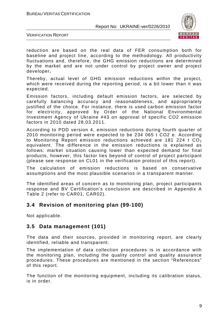

VERIFICATION REPORT

reduction are based on the real data of FER consumption both for baseline and project line, according to the methodology. All productivity fluctuations and, therefore, the GHG emission reductions are determined by the market and are not under control by project owner and project developer**.** 

Thereby, actual level of GHG emission reductions within the project, which were received during the reporting period, is a bit lower than it was expected.

Emission factors, including default emission factors, are selected by carefully balancing accuracy and reasonableness, and appropriately justified of the choice. For instance, there is used carbon emission factor for electricity, approved by Order of the National Environmental Investment Agency of Ukraine #43 on approval of specific CO2 emission factors in 2010 dated 28.03.2011.

According to PDD version 4, emission reductions during fourth quarter of 2010 monitoring period were expected to be 234 065 t CO2 e. According to Monitoring Report emission reductions achieved are 181 224 t  $CO<sub>2</sub>$ equivalent. The difference in the emission reductions is explained as follows: market situation causing lower than expected demand for final products, however, this factor lies beyond of control of project participant (please see response on CL01 in the verification protocol of this report).

The calculation of emission reductions is based on conservative assumptions and the most plausible scenarios in a transparent manner.

The identified areas of concern as to monitoring plan, project participants response and BV Certification's conclusion are described in Appendix A Table 2 (refer to CAR01, CAR02).

## **3.4 Revision of monitoring plan (99-100)**

Not applicable.

## **3.5 Data management (101)**

The data and their sources, provided in monitoring report, are clearly identified, reliable and transparent.

The implementation of data collection procedures is in accordance with the monitoring plan, including the quality control and quality assurance procedures. These procedures are mentioned in the section "References" of this report.

The function of the monitoring equipment, including its calibration status, is in order.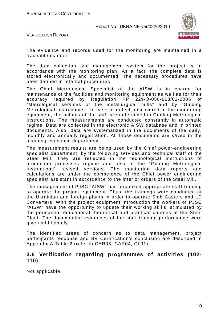

VERIFICATION REPORT

The evidence and records used for the monitoring are maintained in a traceable manner.

The data collection and management system for the project is in accordance with the monitoring plan. As a fact, the complete data is stored electronically and documented. The necessary procedures have been defined in internal procedures.

The Chief Metrological Specialist of the AISW is in charge for maintenance of the facilities and monitoring equipment as well as for their accuracy required by Regulation PP 229-Э-056-863/02-2005 of "Metrological services of the metallurgical mills" and by "Guiding Metrological Instructions". In case of defect, discovered in the monitoring equipment, the actions of the staff are determined in Guiding Metrological Instructions. The measurements are conducted constantly in automatic regime. Data are collected in the electronic AISW database and in printed documents. Also, data are systematized in the documents of the daily, monthly and annually registration. All those documents are saved in the planning-economic department.

The measurement results are being used by the Chief power-engineering specialist department, by the following services and technical staff of the Steel Mill. They are reflected in the technological instructions of production processes regime and also in the "Guiding Metrological Instructions" revised versions. The monitoring data reports and calculations are under the competence of the Chief power engineering specialist assistant in accordance to the interior orders of the Steel Mill.

The management of PJSC "AISW" has organized appropriate staff training to operate the project equipment. Thus, the trainings were conducted at the Ukrainian and foreign plants in order to operate Slab Casters and LD Converters. With the project equipment introduction the workers of PJSC "AISW" have the opportunity to update their working skills, stimulated by the permanent educational theoretical and practical courses at the Steel Plant. The documented evidences of the staff training performance were given additionally.

The identified areas of concern as to data management, project participants response and BV Certification's conclusion are described in Appendix A Table 2 (refer to CAR03, CAR04, CL01).

## **3.6 Verification regarding programmes of activities (102- 110)**

Not applicable.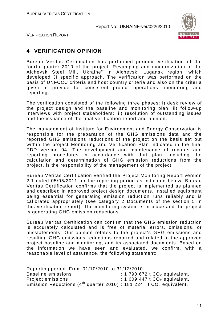

VERIFICATION REPORT

# **4 VERIFICATION OPINION**

Bureau Veritas Certification has performed periodic verification of the fourth quarter 2010 of the project "Revamping and modernization of the Alchevsk Steel Mill, Ukraine" in Alchevsk, Lugansk region, which developed JI specific approach. The verification was performed on the basis of UNFCCC criteria and host country criteria and also on the criteria given to provide for consistent project operations, monitoring and reporting.

The verification consisted of the following three phases: i) desk review of the project design and the baseline and monitoring plan; ii) follow-up interviews with project stakeholders; iii) resolution of outstanding issues and the issuance of the final verification report and opinion.

The management of Institute for Environment and Energy Conservation is responsible for the preparation of the GHG emissions data and the reported GHG emissions reductions of the project on the basis set out within the project Monitoring and Verification Plan indicated in the final PDD version 04. The development and maintenance of records and reporting procedures in accordance with that plan, including the calculation and determination of GHG emission reductions from the project, is the responsibility of the management of the project.

Bureau Veritas Certification verified the Project Monitoring Report version 2.1 dated 05/05/2011 for the reporting period as indicated below. Bureau Veritas Certification confirms that the project is implemented as planned and described in approved project design documents. Installed equipment being essential for generating emission reduction runs reliably and is calibrated appropriately (see category 2 Documents of the section 5 in this verification report). The monitoring system is in place and the project is generating GHG emission reductions.

Bureau Veritas Certification can confirm that the GHG emission reduction is accurately calculated and is free of material errors, omissions, or misstatements. Our opinion relates to the project's GHG emissions and resulting GHG emissions reductions reported and related to the approved project baseline and monitoring, and its associated documents. Based on the information we have seen and evaluated, we confirm, with a reasonable level of assurance, the following statement:

Reporting period: From 01/10/2010 to 31/12/2010 Baseline emissions  $\overline{\phantom{a}}$  : 1 790 672 t CO<sub>2</sub> equivalent. Project emissions : 1 609 447 t CO<sub>2</sub> equivalent. Emission Reductions (4<sup>th</sup> quarter 2010) : 181 224 t  $CO<sub>2</sub>$  equivalent.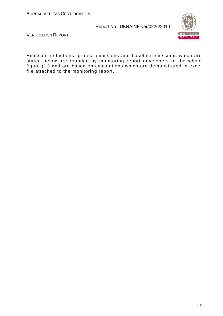

VERIFICATION REPORT

Emission reductions, project emissions and baseline emissions which are stated below are rounded by monitoring report developers to the whole figure (1t) and are based on calculations which are demonstrated in excel file attached to the monitoring report.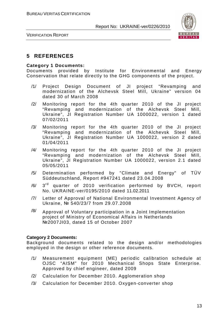

VERIFICATION REPORT

# **5 REFERENCES**

#### **Category 1 Documents:**

Documents provided by Institute for Environmental and Energy Conservation that relate directly to the GHG components of the project.

- /1/ Project Design Document of JI project "Revamping and modernization of the Alchevsk Steel Mill, Ukraine" version 04 dated 30 of March 2008
- /2/ Monitoring report for the 4th quarter 2010 of the JI project "Revamping and modernization of the Alchevsk Steel Mill, Ukraine", JI Registration Number UA 1000022, version 1 dated 07/02/2011
- /3/ Monitoring report for the 4th quarter 2010 of the JI project "Revamping and modernization of the Alchevsk Steel Mill, Ukraine", JI Registration Number UA 1000022, version 2 dated 01/04/2011
- /4/ Monitoring report for the 4th quarter 2010 of the JI project "Revamping and modernization of the Alchevsk Steel Mill, Ukraine", JI Registration Number UA 1000022, version 2.1 dated 05/05/2011
- /5/ Determination performed by "Climate and Energy" of TÜV Süddeutschland, Report #947241 dated 23.04.2008
- /6/ 3 3<sup>rd</sup> quarter of 2010 verification performed by BVCH, report No. UKRAINE-ver/0195/2010 dated 11.02.2011
- /7/ Letter of Approval of National Environmental Investment Agency of Ukraine, № 540/23/7 from 29.07.2008
- $\frac{18}{100}$  Approval of Voluntary participation in a Joint Implementation project of Ministry of Economical Affairs in Netherlands №2007JI03, dated 15 of October 2007

#### **Category 2 Documents:**

Background documents related to the design and/or methodologies employed in the design or other reference documents.

- /1/ Measurement equipment (ME) periodic calibration schedule at OJSC "AISM" for 2010 Mechanical Shops State Enterprise. Approved by chief engineer, dated 2009
- /2/ Calculation for December 2010. Agglomeration shop
- /3/ Calculation for December 2010. Oxygen-converter shop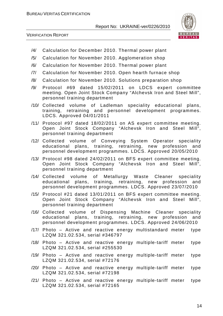

- /4/ Calculation for December 2010. Thermal power plant
- /5/ Calculation for November 2010. Agglomeration shop
- /6/ Calculation for November 2010. Thermal power plant
- /7/ Calculation for November 2010. Open hearth furnace shop
- /8/ Calculation for November 2010. Solutions preparation shop
- /9/ Protocol #69 dated 15/02/2011 on LDCS expert committee meeting. Open Joint Stock Company "Alchevsk Iron and Steel Mill", personnel training department
- /10/ Collected volume of Ladleman speciality educational plans, training, retraining and personnel development programmes. LDCS. Approved 04/01/2011
- /11/ Protocol #97 dated 18/02/2011 on AS expert committee meeting. Open Joint Stock Company "Alchevsk Iron and Steel Mill", personnel training department
- /12/ Collected volume of Conveying System Operator speciality educational plans, training, retraining, new profession and personnel development programmes. LDCS. Approved 20/05/2010
- /13/ Protocol #98 dated 24/02/2011 on BFS expert committee meeting. Open Joint Stock Company "Alchevsk Iron and Steel Mill", personnel training department
- /14/ Collected volume of Metallurgy Waste Cleaner speciality educational plans, training, retraining, new profession and personnel development programmes. LDCS. Approved 23/07/2010
- /15/ Protocol #21 dated 13/01/2011 on BFS expert committee meeting. Open Joint Stock Company "Alchevsk Iron and Steel Mill", personnel training department
- /16/ Collected volume of Dispensing Machine Cleaner speciality educational plans, training, retraining, new profession and personnel development programmes. LDCS. Approved 24/06/2010
- /17/ Photo Active and reactive energy multistandard meter type LZQM 321.02.534, serial #346797
- /18/ Photo Active and reactive energy multiple-tariff meter type LZQM 321.02.534, serial #255530
- /19/ Photo Active and reactive energy multiple-tariff meter type LZQM 321.02.534, serial #72176
- /20/ Photo Active and reactive energy multiple-tariff meter type LZQM 321.02.534, serial #72198
- /21/ Photo Active and reactive energy multiple-tariff meter type LZQM 321.02.534, serial #72165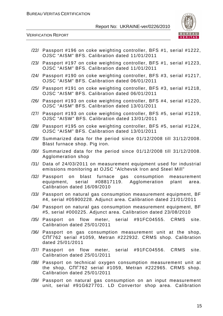

- /22/ Passport #196 on coke weighting controller, BFS #1, serial #1222, OJSC "AISM" BFS. Calibration dated 11/01/2011
- /23/ Passport #197 on coke weighting controller, BFS #1, serial #1223, OJSC "AISM" BFS. Calibration dated 11/01/2011
- /24/ Passport #190 on coke weighting controller, BFS #3, serial #1217, OJSC "AISM" BFS. Calibration dated 06/01/2011
- /25/ Passport #191 on coke weighting controller, BFS #3, serial #1218, OJSC "AISM" BFS. Calibration dated 06/01/2011
- /26/ Passport #193 on coke weighting controller, BFS #4, serial #1220, OJSC "AISM" BFS. Calibration dated 13/01/2011
- /27/ Passport #193 on coke weighting controller, BFS #5, serial #1219, OJSC "AISW" BFS. Calibration dated 13/01/2011
- /28/ Passport #195 on coke weighting controller, BFS #5, serial #1224, OJSC "AISM" BFS. Calibration dated 13/01/2011
- /29/ Summarized data for the period since 01/12/2008 till 31/12/2008. Blast furnace shop. Pig iron.
- /30/ Summarized data for the period since 01/12/2008 till 31/12/2008. Agglomeration shop
- /31/ Data of 24/03/2011 on measurement equipment used for industrial emissions monitoring at OJSC "Alchevsk Iron and Steel Mill"
- /32/ Passport on blast furnace gas consumption measurement equipment, serial #08817119. Agglomeration plant area. Calibration dated 16/09/2010
- /33/ Passport on natural gas consumption measurement equipment, BF #4, serial #05900228. Adjunct area. Calibration dated 21/01/2011
- /34/ Passport on natural gas consumption measurement equipment, BF #5, serial #000225. Adjunct area. Calibration dated 23/08/2010
- /35/ Passport on flow meter, serial #91FC04555. CRMS site. Calibration dated 25/01/2011
- /36/ Passport on gas consumption measurement unit at the shop, СПГ762 serial #1059, Metran #222932. CRMS shop. Calibration dated 25/01/2011
- /37/ Passport on flow meter, serial #91FC04556. CRMS site. Calibration dated 25/01/2011
- /38/ Passport on technical oxygen consumption measurement unit at the shop, СПГ762 serial #1059, Metran #222965. CRMS shop. Calibration dated 25/01/2011
- /39/ Passport on natural gas consumption on an input measurement unit, serial #91G627701. LD Convertor shop area. Calibration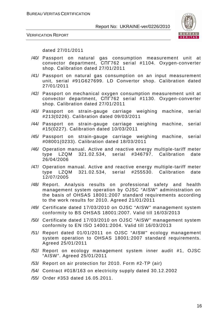

VERIFICATION REPORT

dated 27/01/2011

- /40/ Passport on natural gas consumption measurement unit at convector department, СПГ762 serial #1104. Oxygen-converter shop. Calibration dated 27/01/2011
- /41/ Passport on natural gas consumption on an input measurement unit, serial #91G627699. LD Convertor shop. Calibration dated 27/01/2011
- /42/ Passport on mechanical oxygen consumption measurement unit at convector department, СПГ762 serial #1130. Oxygen-converter shop. Calibration dated 27/01/2011
- /43/ Passport on strain-gauge carriage weighing machine, serial #213(0226). Calibration dated 09/03/2011
- /44/ Passport on strain-gauge carriage weighing machine, serial #15(0227). Calibration dated 10/03/2011
- /45/ Passport on strain-gauge carriage weighing machine, serial #08001(0233). Calibration dated 18/03/2011
- /46/ Operation manual. Active and reactive energy multiple-tariff meter type LZQM 321.02.534, serial #346797. Calibration date 26/04/2006
- /47/ Operation manual. Active and reactive energy multiple-tariff meter type LZQM 321.02.534, serial #255530. Calibration date 12/07/2005
- /48/ Report. Analysis results on professional safety and health management system operation by OJSC "AISW" administration on the basis of OHSAS 18001:2007 standard requirements according to the work results for 2010. Agreed 21/01/2011
- /49/ Certificate dated 17/03/2010 on OJSC "AISW" management system conformity to BS OHSAS 18001:2007. Valid till 16/03/2013
- /50/ Certificate dated 17/03/2010 on OJSC "AISW" management system conformity to EN ISO 14001:2004. Valid till 16/03/2013
- /51/ Report dated 01/01/2011 on OJSC "AISW" ecology management system operation to OHSAS 18001:2007 standard requirements. Agreed 25/01/2011
- /52/ Report on ecology management system inner audit #1, OJSC "AISW". Agreed 25/01/2011
- /53/ Report on air protection for 2010. Form #2-TP (air)
- /54/ Contract #018/163 on electricity supply dated 30.12.2002
- /55/ Order #353 dated 16.05.2011.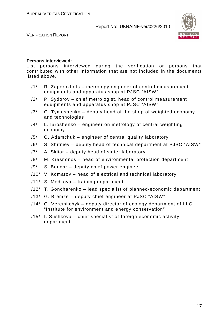

VERIFICATION REPORT

#### **Persons interviewed:**

List persons interviewed during the verification or persons that contributed with other information that are not included in the documents listed above.

- /1/ R. Zaporozhets metrology engineer of control measurement equipments and apparatus shop at PJSC "AISW"
- /2/ P. Sydorov chief metrologist, head of control measurement equipments and apparatus shop at PJSC "AISW"
- $/3/$  O. Tymoshenko deputy head of the shop of weighted economy and technologies
- /4/ L. Iaroshenko engineer on metrology of central weighting economy
- /5/ O. Adamchuk engineer of central quality laboratory
- /6/ S. Sbitniev deputy head of technical department at PJSC "AISW"
- /7/ A. Skliar deputy head of sinter laboratory
- /8/ M. Krasnonos head of environmental protection department
- /9/ S. Bondar deputy chief power engineer
- /10/ V. Komarov head of electrical and technical laboratory
- /11/ S. Medkova training department
- /12/ T. Goncharenko lead specialist of planned-economic department
- /13/ G. Bremze deputy chief engineer at PJSC "AISW"
- /14/ G. Veremiichyk deputy director of ecology department of LLC "Institute for environment and energy conservation"
- /15/ I. Sushkova chief specialist of foreign economic activity department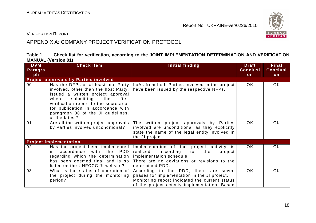

VERIFICATION REPORT

# APPENDIX A: COMPANY PROJECT VERIFICATION PROTOCOL

| Table 1 |                            |  | Check list for verification, according to the JOINT IMPLEMENTATION DETERMINATION AND VERIFICATION |  |  |
|---------|----------------------------|--|---------------------------------------------------------------------------------------------------|--|--|
|         | <b>MANUAL (Version 01)</b> |  |                                                                                                   |  |  |

| <b>DVM</b><br>Paragra | <b>Check Item</b>                                                                                                                                                                                                                                                                          | Initial finding                                                                                                                                                                          | <b>Draft</b><br><b>Conclusi</b> | Final<br><b>Conclusi</b> |
|-----------------------|--------------------------------------------------------------------------------------------------------------------------------------------------------------------------------------------------------------------------------------------------------------------------------------------|------------------------------------------------------------------------------------------------------------------------------------------------------------------------------------------|---------------------------------|--------------------------|
| ph                    |                                                                                                                                                                                                                                                                                            |                                                                                                                                                                                          | on                              | on                       |
|                       | Project approvals by Parties involved                                                                                                                                                                                                                                                      |                                                                                                                                                                                          |                                 |                          |
| 90                    | Has the DFPs of at least one Party<br>involved, other than the host Party,<br>issued a written project approval<br>submitting the<br>when<br>first<br>verification report to the secretariat<br>for publication in accordance with<br>paragraph 38 of the JI guidelines,<br>at the latest? | LoAs from both Parties involved in the project<br>have been issued by the respective NFPs.                                                                                               | OK.                             | OK.                      |
| 91                    | Are all the written project approvals<br>by Parties involved unconditional?                                                                                                                                                                                                                | The written project approvals by Parties<br>involved are unconditional as they explicitly<br>state the name of the legal entity involved in<br>the JI project.                           | OK.                             | OK.                      |
|                       | <b>Project implementation</b>                                                                                                                                                                                                                                                              |                                                                                                                                                                                          |                                 |                          |
| 92                    | Has the project been implemented<br>accordance<br>with the<br>PDD<br>in.<br>regarding which the determination<br>has been deemed final and is so<br>listed on the UNFCCC JI website?                                                                                                       | Implementation of the project activity is<br>realized<br>according<br>to<br>the<br>project<br>implementation schedule.<br>There are no deviations or revisions to the<br>determined PDD. | OK.                             | OK.                      |
| 93                    | What is the status of operation of<br>the project during the monitoring<br>period?                                                                                                                                                                                                         | According to the PDD, there are seven<br>phases for implementation in the JI project.<br>Monitoring report indicated the current status<br>of the project activity implementation. Based | OK.                             | <b>OK</b>                |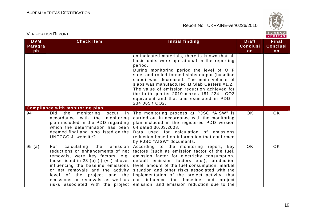

| <b>DVM</b><br>Paragra<br>ph | <b>Check Item</b>                                                                                                                                                                                                                                                                                       | <b>Initial finding</b>                                                                                                                                                                                                                                                                                                                                                                                                                                                 | <b>Draft</b><br><b>Conclusi</b><br>on | <b>Final</b><br><b>Conclusi</b><br>on |
|-----------------------------|---------------------------------------------------------------------------------------------------------------------------------------------------------------------------------------------------------------------------------------------------------------------------------------------------------|------------------------------------------------------------------------------------------------------------------------------------------------------------------------------------------------------------------------------------------------------------------------------------------------------------------------------------------------------------------------------------------------------------------------------------------------------------------------|---------------------------------------|---------------------------------------|
|                             |                                                                                                                                                                                                                                                                                                         | on indicated materials, there is known that all<br>basic units were operational in the reporting<br>period.<br>During monitoring period the level of OHF<br>steel and rolled-formed slabs output (baseline<br>slabs) was decreased. The main volume of<br>slabs was manufactured at Slab Casters #1,2.<br>The value of emission reduction achieved for<br>the forth quarter 2010 makes 181 224 t CO2<br>equivalent and that one estimated in PDD -<br>234 065 t CO2.   |                                       |                                       |
|                             | <b>Compliance with monitoring plan</b>                                                                                                                                                                                                                                                                  |                                                                                                                                                                                                                                                                                                                                                                                                                                                                        |                                       |                                       |
| 94                          | the<br>Did<br>monitoring occur<br>in<br>accordance with the monitoring<br>plan included in the PDD regarding<br>which the determination has been<br>deemed final and is so listed on the<br><b>UNFCCC JI website?</b>                                                                                   | The monitoring process at PJSC "AISW" is<br>carried out in accordance with the monitoring<br>plan included in the registered PDD version<br>04 dated 30.03.2008.<br>Data used for calculation of emissions<br>reduction based on information that confirmed<br>by PJSC "AISW" documents.                                                                                                                                                                               | <b>OK</b>                             | <b>OK</b>                             |
| 95(a)                       | calculating<br>the<br>emission<br>For<br>reductions or enhancements of net<br>removals, were key factors, e.g.<br>those listed in 23 (b) (i)-(vii) above,<br>influencing the baseline emissions<br>or net removals and the activity<br>level of the project and the<br>emissions or removals as well as | According to the monitoring report,<br>key<br>factors (such as emission factor of the fuel,<br>emission factor for electricity consumption,<br>default emission factors etc.), production<br>level, amount of the fuel consumption, market<br>situation and other risks associated with the<br>implementation of the project activity, that<br>can influence the baseline and project<br>risks associated with the project emission, and emission reduction due to the | <b>OK</b>                             | OK                                    |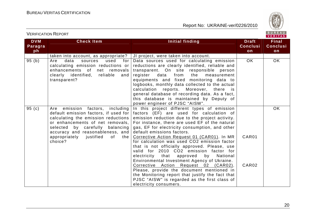

| <b>DVM</b> | <b>Check Item</b>                                                                                                                                                                                                                                                                      | <b>Initial finding</b>                                                                                                                                                                                                                                                                                                                                                                                                                                                                                                                                                                                                                                                                                                                                                                | <b>Draft</b>    | <b>Final</b>    |
|------------|----------------------------------------------------------------------------------------------------------------------------------------------------------------------------------------------------------------------------------------------------------------------------------------|---------------------------------------------------------------------------------------------------------------------------------------------------------------------------------------------------------------------------------------------------------------------------------------------------------------------------------------------------------------------------------------------------------------------------------------------------------------------------------------------------------------------------------------------------------------------------------------------------------------------------------------------------------------------------------------------------------------------------------------------------------------------------------------|-----------------|-----------------|
| Paragra    |                                                                                                                                                                                                                                                                                        |                                                                                                                                                                                                                                                                                                                                                                                                                                                                                                                                                                                                                                                                                                                                                                                       | <b>Conclusi</b> | <b>Conclusi</b> |
| ph         |                                                                                                                                                                                                                                                                                        |                                                                                                                                                                                                                                                                                                                                                                                                                                                                                                                                                                                                                                                                                                                                                                                       | on              | on              |
|            | taken into account, as appropriate?                                                                                                                                                                                                                                                    | JI project, were taken into account.                                                                                                                                                                                                                                                                                                                                                                                                                                                                                                                                                                                                                                                                                                                                                  |                 |                 |
| 95(b)      | Are<br>data<br>used<br>for<br>sources<br>calculating emission reductions or<br>enhancements of net removals<br>clearly identified,<br>reliable<br>and<br>transparent?                                                                                                                  | Data sources used for calculating emission<br>reductions are clearly identified, reliable and<br>transparent. On site responsible person<br>register<br>data<br>from<br>the<br>measurement<br>equipments and fixed monitoring data to<br>logbooks, monthly data collected to the actual<br>calculation reports. Moreover, there is<br>general database of recording data. As a fact,<br>this database is maintained by Deputy of<br>power engineer of PJSC "AISW".                                                                                                                                                                                                                                                                                                                    | <b>OK</b>       | <b>OK</b>       |
| 95(c)      | including<br>emission factors,<br>Are<br>default emission factors, if used for<br>calculating the emission reductions<br>or enhancements of net removals,<br>selected by carefully balancing<br>accuracy and reasonableness, and<br>appropriately<br>justified<br>0f<br>the<br>choice? | In this project different types of emission<br>factors (EF) are used for calculation of<br>emission reduction due to the project activity.<br>For instance, there are used EF of the natural<br>gas, EF for electricity consumption, and other<br>default emissions factors.<br>Corrective Action Request 01 (CAR01). In MR<br>for calculation was used CO2 emission factor<br>that is not officially approved. Please, use<br>valid for 2010 CO2 emission factor for<br>electricity that approved<br>by National<br>Environmental Investment Agency of Ukraine.<br>Corrective Action Request 02 (CAR02).<br>Please, provide the document mentioned in<br>the Monitoring report that justify the fact that<br>PJSC "AISW" is regarded as the first class of<br>electricity consumers. | CAR01<br>CAR02  | OK              |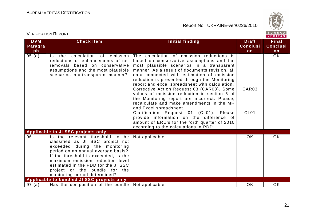

| <b>DVM</b> | <b>Check Item</b>                                                                                                                                                                                                                                                                                                                   | Initial finding                                                                                                                                                                                                                                                                                                                                                                                                                                                                                                                                                                                                                                                                                     | <b>Draft</b>              | <b>Final</b>    |
|------------|-------------------------------------------------------------------------------------------------------------------------------------------------------------------------------------------------------------------------------------------------------------------------------------------------------------------------------------|-----------------------------------------------------------------------------------------------------------------------------------------------------------------------------------------------------------------------------------------------------------------------------------------------------------------------------------------------------------------------------------------------------------------------------------------------------------------------------------------------------------------------------------------------------------------------------------------------------------------------------------------------------------------------------------------------------|---------------------------|-----------------|
| Paragra    |                                                                                                                                                                                                                                                                                                                                     |                                                                                                                                                                                                                                                                                                                                                                                                                                                                                                                                                                                                                                                                                                     | <b>Conclusi</b>           | <b>Conclusi</b> |
| ph         |                                                                                                                                                                                                                                                                                                                                     |                                                                                                                                                                                                                                                                                                                                                                                                                                                                                                                                                                                                                                                                                                     | on                        | on              |
| 95(d)      | calculation<br>of emission<br>the<br>Is a<br>reductions or enhancements of net<br>removals based on conservative<br>assumptions and the most plausible<br>scenarios in a transparent manner?                                                                                                                                        | The calculation of emission reductions is<br>based on conservative assumptions and the<br>most plausible scenarios in a transparent<br>manner. As a result of documents revision, all<br>data connected with estimation of emission<br>reduction is presented through the Monitoring<br>report and excel spreadsheet with calculation.<br>Corrective Action Request 03 (CAR03). Some<br>values of emission reduction in section 6 of<br>the Monitoring report are incorrect. Please,<br>recalculate and make amendments in the MR<br>and Excel spreadsheet.<br>Clarification Request 01 (CL01). Please<br>provide information on the difference of<br>amount of ERU's for the forth quarter of 2010 | CAR03<br>CL <sub>01</sub> | <b>OK</b>       |
|            |                                                                                                                                                                                                                                                                                                                                     | according to the calculations in PDD.                                                                                                                                                                                                                                                                                                                                                                                                                                                                                                                                                                                                                                                               |                           |                 |
|            | Applicable to JI SSC projects only                                                                                                                                                                                                                                                                                                  |                                                                                                                                                                                                                                                                                                                                                                                                                                                                                                                                                                                                                                                                                                     |                           |                 |
| 96         | Is the relevant threshold to<br>be<br>classified as JI SSC project not<br>exceeded during the monitoring<br>period on an annual average basis?<br>If the threshold is exceeded, is the<br>maximum emission reduction level<br>estimated in the PDD for the JI SSC<br>project or the bundle for the<br>monitoring period determined? | Not applicable                                                                                                                                                                                                                                                                                                                                                                                                                                                                                                                                                                                                                                                                                      | OK.                       | <b>OK</b>       |
|            | Applicable to bundled JI SSC projects only                                                                                                                                                                                                                                                                                          |                                                                                                                                                                                                                                                                                                                                                                                                                                                                                                                                                                                                                                                                                                     |                           |                 |
| 97(a)      | Has the composition of the bundle                                                                                                                                                                                                                                                                                                   | Not applicable                                                                                                                                                                                                                                                                                                                                                                                                                                                                                                                                                                                                                                                                                      | OK                        | <b>OK</b>       |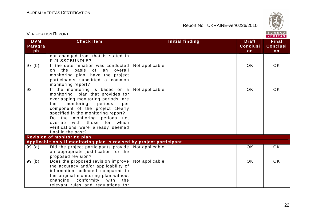

|                             |                                                                                                                                                                                                                                                                                                                                                           |                        |                                       | $V$ e kii a s                         |  |
|-----------------------------|-----------------------------------------------------------------------------------------------------------------------------------------------------------------------------------------------------------------------------------------------------------------------------------------------------------------------------------------------------------|------------------------|---------------------------------------|---------------------------------------|--|
| <b>DVM</b><br>Paragra<br>ph | <b>Check Item</b>                                                                                                                                                                                                                                                                                                                                         | <b>Initial finding</b> | <b>Draft</b><br><b>Conclusi</b><br>on | <b>Final</b><br><b>Conclusi</b><br>on |  |
|                             | not changed from that is stated in<br>F-JI-SSCBUNDLE?                                                                                                                                                                                                                                                                                                     |                        |                                       |                                       |  |
| 97(b)                       | If the determination was conducted<br>of an<br>the basis<br>overall<br>$\Omega$<br>monitoring plan, have the project<br>participants submitted a common<br>monitoring report?                                                                                                                                                                             | Not applicable         | <b>OK</b>                             | OK                                    |  |
| 98                          | If the monitoring is based on a<br>monitoring plan that provides for<br>overlapping monitoring periods, are<br>periods<br>monitoring<br>the<br>per<br>component of the project clearly<br>specified in the monitoring report?<br>Do the monitoring periods not<br>overlap with those for which<br>verifications were already deemed<br>final in the past? | Not applicable         | <b>OK</b>                             | <b>OK</b>                             |  |
|                             | <b>Revision of monitoring plan</b>                                                                                                                                                                                                                                                                                                                        |                        |                                       |                                       |  |
|                             | Applicable only if monitoring plan is revised by project participant                                                                                                                                                                                                                                                                                      |                        |                                       |                                       |  |
| 99(a)                       | Did the project participants provide  <br>an appropriate justification for the<br>proposed revision?                                                                                                                                                                                                                                                      | Not applicable         | <b>OK</b>                             | <b>OK</b>                             |  |
| 99(b)                       | Does the proposed revision improve<br>the accuracy and/or applicability of<br>information collected compared to<br>the original monitoring plan without<br>conformity<br>changing<br>with<br>the<br>relevant rules and regulations for                                                                                                                    | Not applicable         | <b>OK</b>                             | <b>OK</b>                             |  |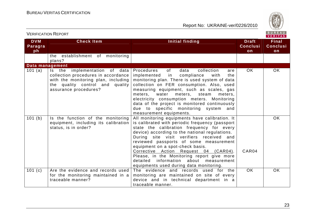

|                             |                                                                                                                                                                         |                                                                                                                                                                                                                                                                                                                                                                                                                                                                                                           |                                       | VERIIAS                               |
|-----------------------------|-------------------------------------------------------------------------------------------------------------------------------------------------------------------------|-----------------------------------------------------------------------------------------------------------------------------------------------------------------------------------------------------------------------------------------------------------------------------------------------------------------------------------------------------------------------------------------------------------------------------------------------------------------------------------------------------------|---------------------------------------|---------------------------------------|
| <b>DVM</b><br>Paragra<br>ph | <b>Check Item</b>                                                                                                                                                       | Initial finding                                                                                                                                                                                                                                                                                                                                                                                                                                                                                           | <b>Draft</b><br><b>Conclusi</b><br>on | <b>Final</b><br><b>Conclusi</b><br>on |
|                             | the establishment of monitoring<br>plans?                                                                                                                               |                                                                                                                                                                                                                                                                                                                                                                                                                                                                                                           |                                       |                                       |
| Data management             |                                                                                                                                                                         |                                                                                                                                                                                                                                                                                                                                                                                                                                                                                                           |                                       |                                       |
| 101 (a)                     | Is the implementation of data<br>collection procedures in accordance<br>with the monitoring plan, including<br>the quality control and quality<br>assurance procedures? | of<br>data<br>collection<br>Procedures<br>are<br>implemented<br>compliance<br>with<br>the<br>in<br>monitoring plan. There is used system of data<br>collection on FER consumption. Also, used<br>measuring equipment, such as scales, gas<br>meters, steam<br>meters, water<br>meters,<br>electricity consumption meters. Monitoring<br>data of the project is monitored continuously<br>due to specific monitoring system and<br>measurement equipments.                                                 | OK.                                   | OK                                    |
| 101(b)                      | Is the function of the monitoring<br>equipment, including its calibration<br>status, is in order?                                                                       | All monitoring equipments have calibration. It<br>is calibrated with periodic frequency (passport<br>state the calibration frequency for every<br>device) according to the national regulations.<br>During site visit verifiers received and<br>reviewed passports of some measurement<br>equipment on a spot-check basis.<br>Corrective Action Request 04 (CAR04).<br>Please, in the Monitoring report give more<br>detailed<br>information about measurement<br>equipments used during data monitoring. | CAR04                                 | <b>OK</b>                             |
| 101 (c)                     | Are the evidence and records used<br>for the monitoring maintained in a<br>traceable manner?                                                                            | The evidence and records used for the<br>monitoring are maintained on site of every<br>device and in technical department in a<br>traceable manner.                                                                                                                                                                                                                                                                                                                                                       | <b>OK</b>                             | <b>OK</b>                             |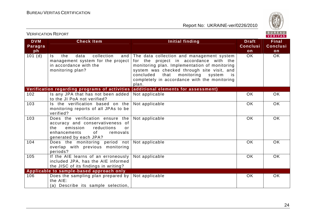

|                             |                                                                                                                                                                         |                                                                                                                                                                                                                                                                                                 |                                       | VERITAS                         |
|-----------------------------|-------------------------------------------------------------------------------------------------------------------------------------------------------------------------|-------------------------------------------------------------------------------------------------------------------------------------------------------------------------------------------------------------------------------------------------------------------------------------------------|---------------------------------------|---------------------------------|
| <b>DVM</b><br>Paragra<br>ph | <b>Check Item</b>                                                                                                                                                       | <b>Initial finding</b>                                                                                                                                                                                                                                                                          | <b>Draft</b><br><b>Conclusi</b><br>on | <b>Final</b><br><b>Conclusi</b> |
| 101(d)                      | collection<br>the<br>data<br>and<br>Is.<br>management system for the project<br>in accordance with the<br>monitoring plan?                                              | The data collection and management system<br>for the project in accordance with the<br>monitoring plan. Implementation of monitoring<br>system was checked through site visit, and<br>concluded<br>that<br>monitoring<br>system<br>is.<br>completely in accordance with the monitoring<br>plan. | <b>OK</b>                             | on<br><b>OK</b>                 |
|                             |                                                                                                                                                                         | Verification regarding programs of activities (additional elements for assessment)                                                                                                                                                                                                              |                                       |                                 |
| 102                         | Is any JPA that has not been added<br>to the JI PoA not verified?                                                                                                       | Not applicable                                                                                                                                                                                                                                                                                  | OK                                    | <b>OK</b>                       |
| 103                         | Is the verification based on the<br>monitoring reports of all JPAs to be<br>verified?                                                                                   | Not applicable                                                                                                                                                                                                                                                                                  | OK                                    | <b>OK</b>                       |
| 103                         | Does the verification ensure the<br>accuracy and conservativeness of<br>emission<br>reductions<br>the<br>or<br>enhancements<br>0f<br>removals<br>generated by each JPA? | Not applicable                                                                                                                                                                                                                                                                                  | <b>OK</b>                             | OK                              |
| 104                         | Does the monitoring period not Not applicable<br>overlap with previous monitoring<br>periods?                                                                           |                                                                                                                                                                                                                                                                                                 | <b>OK</b>                             | <b>OK</b>                       |
| 105                         | If the AIE learns of an erroneously<br>included JPA, has the AIE informed<br>the JISC of its findings in writing?                                                       | Not applicable                                                                                                                                                                                                                                                                                  | OK                                    | OK                              |
|                             | Applicable to sample-based approach only                                                                                                                                |                                                                                                                                                                                                                                                                                                 |                                       |                                 |
| 106                         | Does the sampling plan prepared by<br>the AIE:<br>(a) Describe its sample selection,                                                                                    | Not applicable                                                                                                                                                                                                                                                                                  | <b>OK</b>                             | <b>OK</b>                       |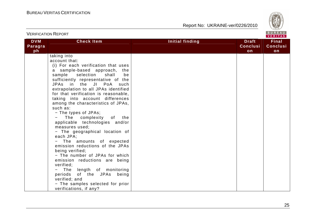

|                             | <b>VERIFICATION REPORT</b>                                                                                                                                                                                                                                                                                                                                                                                                                                                                                                                                                                                                                                                                                                                                                                                                                          |                        |                                       | BUREAU<br>VERITAS                     |
|-----------------------------|-----------------------------------------------------------------------------------------------------------------------------------------------------------------------------------------------------------------------------------------------------------------------------------------------------------------------------------------------------------------------------------------------------------------------------------------------------------------------------------------------------------------------------------------------------------------------------------------------------------------------------------------------------------------------------------------------------------------------------------------------------------------------------------------------------------------------------------------------------|------------------------|---------------------------------------|---------------------------------------|
| <b>DVM</b><br>Paragra<br>ph | <b>Check Item</b>                                                                                                                                                                                                                                                                                                                                                                                                                                                                                                                                                                                                                                                                                                                                                                                                                                   | <b>Initial finding</b> | <b>Draft</b><br><b>Conclusi</b><br>on | <b>Final</b><br><b>Conclusi</b><br>on |
|                             | taking into<br>account that:<br>(i) For each verification that uses<br>a sample-based approach, the<br>sample selection<br>shall<br>be<br>sufficiently representative of the<br>JPAs in the JI PoA<br>such<br>extrapolation to all JPAs identified<br>for that verification is reasonable,<br>taking into account differences<br>among the characteristics of JPAs,<br>such as:<br>- The types of JPAs;<br>The complexity of the<br>applicable technologies and/or<br>measures used;<br>- The geographical location of<br>each JPA;<br>- The amounts of expected<br>emission reductions of the JPAs<br>being verified;<br>- The number of JPAs for which<br>emission reductions are being<br>verified;<br>- The length of monitoring<br>periods<br>of the JPAs being<br>verified; and<br>- The samples selected for prior<br>verifications, if any? |                        |                                       |                                       |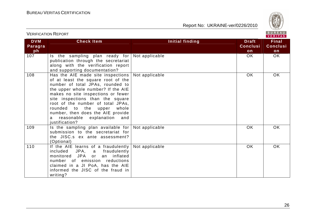VERIFICATION REPORT

Report No: UKRAINE-ver/0226/2010



#### VERITAS **DVM Check Item Initial finding Check Item Initial finding Check Item Final Paragra Conclusi Conclusi** $ph<sup>2</sup>$ **onon**  $\overline{OK}$  $OK$ 107 | Is the sampling plan ready for | Not applicable OK | OK publication through the secretariat along with the verification report and supporting documentation? 108 | Has the AIE made site inspections | Not applicable | OK | OK of at least the square root of the number of total JPAs, rounded to the upper whole number? If the AIE makes no site inspections or fewer site inspections than the square root of the number of total JPAs, rounded to the upper whole number, then does the AIE provide a reasonable explanation and iustification? 109 Is the sampling plan available for Not applicable OK OK submission to the secretariat for the JISC.s ex ante assessment? (Optional) 110 | If the AIE learns of a fraudulently | Not applicable | OK | OK | OK | OK included JPA, a fraudulently monitored JPA or an inflated number of emission reductions claimed in a JI PoA, has the AIE informed the JISC of the fraud in writing?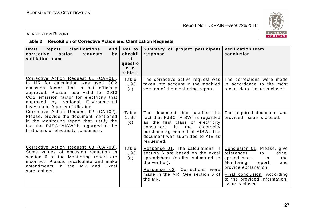

# VERIFICATION REPORT

# **Table 2 Resolution of Corrective Action and Clarification Requests**

| <b>Draft</b><br>report<br>clarifications<br>and<br>action<br>corrective<br>requests<br>by.<br>validation team                                                                                                                                                                    | Ref. to<br>checkli<br>st<br>questio<br>$n$ in<br>table 1 | Summary of project participant<br>response                                                                                                                                                                                             | <b>Verification team</b><br>conclusion                                                                                                                                                                                            |
|----------------------------------------------------------------------------------------------------------------------------------------------------------------------------------------------------------------------------------------------------------------------------------|----------------------------------------------------------|----------------------------------------------------------------------------------------------------------------------------------------------------------------------------------------------------------------------------------------|-----------------------------------------------------------------------------------------------------------------------------------------------------------------------------------------------------------------------------------|
| Corrective Action Request 01 (CAR01).<br>In MR for calculation was used CO2<br>emission factor that is not officially<br>approved. Please, use valid for 2010<br>CO2 emission factor for electricity that<br>approved by National Environmental<br>Investment Agency of Ukraine. | Table<br>1, 95<br>(c)                                    | The corrective active request was<br>taken into account in the modified<br>version of the monitoring report.                                                                                                                           | The corrections were made<br>in accordance to the most<br>recent data. Issue is closed.                                                                                                                                           |
| Corrective Action Request 02 (CAR02).<br>Please, provide the document mentioned<br>in the Monitoring report that justify the<br>fact that PJSC "AISW" is regarded as the<br>first class of electricity consumers.                                                                | Table<br>1,95<br>(c)                                     | The document that justifies the  <br>fact that PJSC "AISW" is regarded<br>as the first class of electricity<br>is the<br>electricity<br>consumers<br>purchase agreement of AISW. The<br>document was submitted to AIE as<br>requested. | The required document was<br>provided. Issue is closed.                                                                                                                                                                           |
| Corrective Action Request 03 (CAR03).<br>Some values of emission reduction in<br>section 6 of the Monitoring report are<br>incorrect. Please, recalculate and make<br>amendments in the MR<br>and Excel<br>spreadsheet.                                                          | Table<br>1,95<br>(d)                                     | Response 01. The calculations in<br>section 6 are based on the excel<br>spreadsheet (earlier submitted to<br>the verifier).<br>Response 02. Corrections were<br>made in the MR. See section 6 of<br>the MR.                            | Conclusion 01. Please, give<br>references<br>to<br>excel<br>spreadsheets<br>the<br>.in<br>Monitoring<br>report,<br>and<br>provide explanation.<br>Final conclusion. According<br>to the provided information,<br>issue is closed. |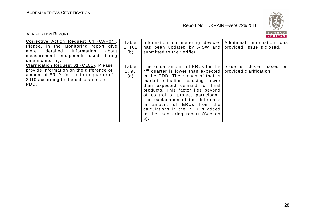

| <b>VERIFICATION REPORT</b>                                                                                                                                                           |                        |                                                                                                                                                                                                                                                                                                                                                                                                                      | BUREAU<br><b>VERITAS</b>                            |
|--------------------------------------------------------------------------------------------------------------------------------------------------------------------------------------|------------------------|----------------------------------------------------------------------------------------------------------------------------------------------------------------------------------------------------------------------------------------------------------------------------------------------------------------------------------------------------------------------------------------------------------------------|-----------------------------------------------------|
| Corrective Action Request 04 (CAR04).<br>Please, in the Monitoring report give<br>information<br>detailed<br>about<br>more<br>measurement equipments used during<br>data monitoring. | Table<br>1, 101<br>(b) | Information on metering devices Additional information was<br>has been updated by AISW and provided. Issue is closed.<br>submitted to the verifier.                                                                                                                                                                                                                                                                  |                                                     |
| Clarification Request 01 (CL01). Please<br>provide information on the difference of<br>amount of ERU's for the forth quarter of<br>2010 according to the calculations in<br>PDD.     | Table<br>1,95<br>(d)   | The actual amount of ERUs for the I<br>$4th$ quarter is lower than expected  <br>in the PDD. The reason of that is<br>market situation causing lower<br>than expected demand for final<br>products. This factor lies beyond<br>of control of project participant.<br>The explanation of the difference<br>in amount of ERUs from the<br>calculations in the PDD is added<br>to the monitoring report (Section<br>5). | Issue is closed based on<br>provided clarification. |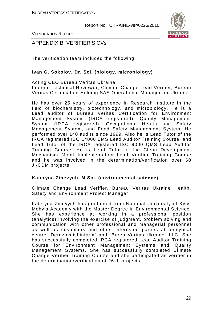

VERIFICATION REPORT

APPENDIX B: VERIFIER'S CVs

The verification team included the following:

## **Ivan G. Sokolov, Dr. Sci. (biology, microbiology)**

Acting CEO Bureau Veritas Ukraine Internal Technical Reviewer, Climate Change Lead Verifier, Bureau Veritas Certification Holding SAS Operational Manager for Ukraine

He has over 25 years of experience in Research Institute in the field of biochemistry, biotechnology, and microbiology. He is a Lead auditor of Bureau Veritas Certification for Environment Management System (IRCA registered), Quality Management System (IRCA registered), Occupational Health and Safety Management System, and Food Safety Management System. He performed over 140 audits since 1999. Also he is Lead Tutor of the IRCA registered ISO 14000 EMS Lead Auditor Training Course, and Lead Tutor of the IRCA registered ISO 9000 QMS Lead Auditor Training Course. He is Lead Tutor of the Clean Development Mechanism /Joint Implementation Lead Verifier Training Course and he was involved in the determination/verification over 60 JI/CDM projects.

### **Kateryna Zinevych, M.Sci. (environmental science)**

Climate Change Lead Verifier, Bureau Veritas Ukraine Health, Safety and Environment Project Manager

Kateryna Zinevych has graduated from National University of Kyiv-Mohyla Academy with the Master Degree in Environmental Science. She has experience at working in a professional position (analytics) involving the exercise of judgment, problem solving and communication with other professional and managerial personnel as well as customers and other interested parties at analytical centre "Dergzovnishinform" and "Burea Veritas Ukraine" LLC. She has successfully completed IRCA registered Lead Auditor Training Course for Environment Management Systems and Quality Management Systems. She has successfully completed Climate Change Verifier Training Course and she participated as verifier in the determination/verification of 26 JI projects.